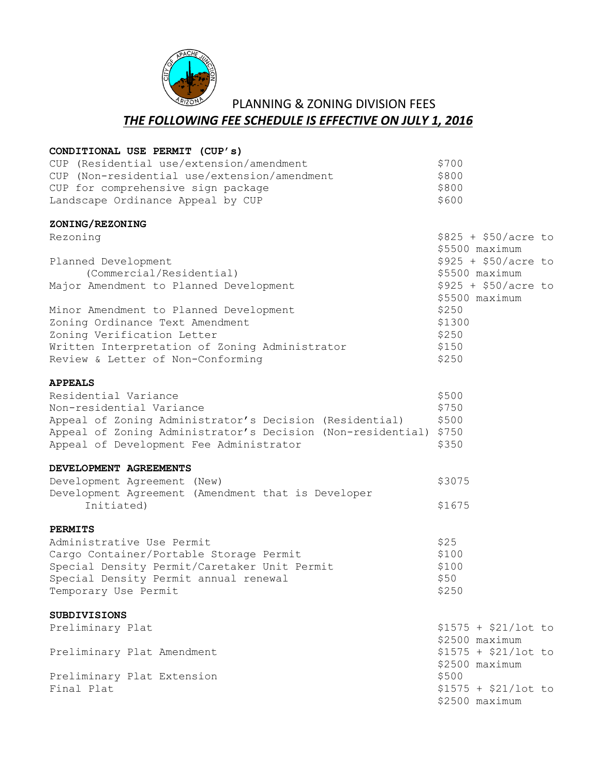

 PLANNING & ZONING DIVISION FEES *THE FOLLOWING FEE SCHEDULE IS EFFECTIVE ON JULY 1, 2016*

| CONDITIONAL USE PERMIT (CUP'S)                                    |                      |
|-------------------------------------------------------------------|----------------------|
| CUP (Residential use/extension/amendment                          | \$700                |
| CUP (Non-residential use/extension/amendment                      | \$800                |
| CUP for comprehensive sign package                                | \$800                |
| Landscape Ordinance Appeal by CUP                                 | \$600                |
| ZONING/REZONING                                                   |                      |
| Rezoning                                                          | $$825 + $50/acre$ to |
|                                                                   | \$5500 maximum       |
| Planned Development                                               | $$925 + $50/acre$ to |
| (Commercial/Residential)                                          | \$5500 maximum       |
| Major Amendment to Planned Development                            | $$925 + $50/acre$ to |
|                                                                   | \$5500 maximum       |
| Minor Amendment to Planned Development                            | \$250                |
| Zoning Ordinance Text Amendment                                   | \$1300               |
| Zoning Verification Letter                                        | \$250                |
| Written Interpretation of Zoning Administrator                    | \$150                |
| Review & Letter of Non-Conforming                                 | \$250                |
| <b>APPEALS</b>                                                    |                      |
| Residential Variance                                              | \$500                |
| Non-residential Variance                                          | \$750                |
| Appeal of Zoning Administrator's Decision (Residential)           | \$500                |
| Appeal of Zoning Administrator's Decision (Non-residential) \$750 |                      |
| Appeal of Development Fee Administrator                           | \$350                |
| DEVELOPMENT AGREEMENTS                                            |                      |
| Development Agreement (New)                                       | \$3075               |
| Development Agreement (Amendment that is Developer                |                      |
| Initiated)                                                        | \$1675               |
| <b>PERMITS</b>                                                    |                      |
| Administrative Use Permit                                         | \$25                 |
| Cargo Container/Portable Storage Permit                           | \$100                |
| Special Density Permit/Caretaker Unit Permit                      | \$100                |
| Special Density Permit annual renewal                             | \$50                 |
| Temporary Use Permit                                              | \$250                |
| <b>SUBDIVISIONS</b>                                               |                      |
| Preliminary Plat                                                  | $$1575 + $21/lot$ to |
|                                                                   | \$2500 maximum       |
| Preliminary Plat Amendment                                        | $$1575 + $21/lot$ to |
|                                                                   | \$2500 maximum       |
| Preliminary Plat Extension                                        | \$500                |
| Final Plat                                                        | $$1575 + $21/lot$ to |
|                                                                   | \$2500 maximum       |